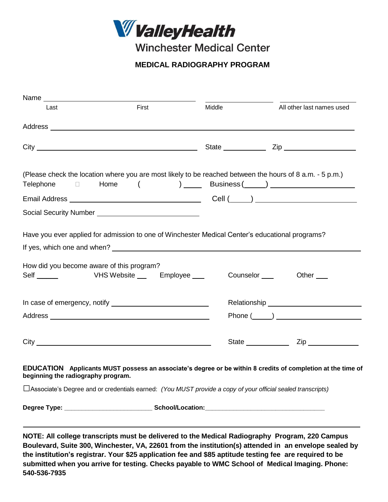

**Winchester Medical Center** 

 **MEDICAL RADIOGRAPHY PROGRAM**

| Last                                                                                                                                                                                                                                 | First | Middle | All other last names used                                                                                                                            |
|--------------------------------------------------------------------------------------------------------------------------------------------------------------------------------------------------------------------------------------|-------|--------|------------------------------------------------------------------------------------------------------------------------------------------------------|
|                                                                                                                                                                                                                                      |       |        |                                                                                                                                                      |
|                                                                                                                                                                                                                                      |       |        |                                                                                                                                                      |
|                                                                                                                                                                                                                                      |       |        | (Please check the location where you are most likely to be reached between the hours of 8 a.m. - 5 p.m.)<br>Telephone $\Box$ Home $($ ) Business ( ) |
|                                                                                                                                                                                                                                      |       |        |                                                                                                                                                      |
| Social Security Number _________________________________                                                                                                                                                                             |       |        |                                                                                                                                                      |
| How did you become aware of this program?                                                                                                                                                                                            |       |        | Counselor ____<br>Other                                                                                                                              |
|                                                                                                                                                                                                                                      |       |        |                                                                                                                                                      |
|                                                                                                                                                                                                                                      |       |        | $Phone (\_ )$                                                                                                                                        |
| City <u>superior and the contract of the contract of the contract of the contract of the contract of the contract of the contract of the contract of the contract of the contract of the contract of the contract of the contrac</u> |       |        | State ___________<br>$\mathsf{Zip}$                                                                                                                  |
| beginning the radiography program.                                                                                                                                                                                                   |       |        | EDUCATION Applicants MUST possess an associate's degree or be within 8 credits of completion at the time of                                          |
|                                                                                                                                                                                                                                      |       |        | $\Box$ Associate's Degree and or credentials earned: (You MUST provide a copy of your official sealed transcripts)                                   |
|                                                                                                                                                                                                                                      |       |        |                                                                                                                                                      |
|                                                                                                                                                                                                                                      |       |        |                                                                                                                                                      |
|                                                                                                                                                                                                                                      |       |        | NOTE: All college transcripts must be delivered to the Medical Radiography Program, 220 Campus                                                       |

**Boulevard, Suite 300, Winchester, VA, 22601 from the institution(s) attended in an envelope sealed by the institution's registrar. Your \$25 application fee and \$85 aptitude testing fee are required to be submitted when you arrive for testing. Checks payable to WMC School of Medical Imaging. Phone: 540-536-7935**